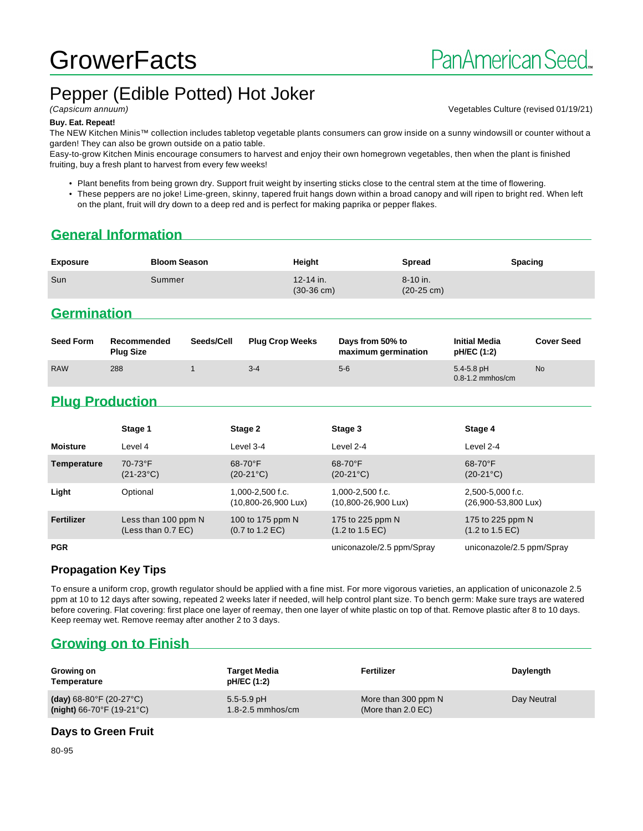# **GrowerFacts**

## Pepper (Edible Potted) Hot Joker

#### **Buy. Eat. Repeat!**

The NEW Kitchen Minis™ collection includes tabletop vegetable plants consumers can grow inside on a sunny windowsill or counter without a garden! They can also be grown outside on a patio table.

Easy-to-grow Kitchen Minis encourage consumers to harvest and enjoy their own homegrown vegetables, then when the plant is finished fruiting, buy a fresh plant to harvest from every few weeks!

• Plant benefits from being grown dry. Support fruit weight by inserting sticks close to the central stem at the time of flowering.

• These peppers are no joke! Lime-green, skinny, tapered fruit hangs down within a broad canopy and will ripen to bright red. When left on the plant, fruit will dry down to a deep red and is perfect for making paprika or pepper flakes.

## **General Information**

| <b>Exposure</b> | <b>Bloom Season</b> | Height                                | Spread                           | <b>Spacing</b> |
|-----------------|---------------------|---------------------------------------|----------------------------------|----------------|
| Sun             | Summer              | $12 - 14$ in.<br>$(30-36 \text{ cm})$ | 8-10 in.<br>$(20-25 \text{ cm})$ |                |

### **Germination**

| <b>Seed Form</b> | Recommended<br><b>Plug Size</b> | Seeds/Cell | <b>Plug Crop Weeks</b> | Days from 50% to<br>maximum germination | <b>Initial Media</b><br>pH/EC (1:2)    | <b>Cover Seed</b> |
|------------------|---------------------------------|------------|------------------------|-----------------------------------------|----------------------------------------|-------------------|
| <b>RAW</b>       | 288                             |            | $3 - 4$                | $5-6$                                   | $5.4 - 5.8$ pH<br>$0.8 - 1.2$ mmhos/cm | <b>No</b>         |

## **Plug Production**

|                 | Stage 1                                     | Stage 2                                                 | Stage 3                                                 | Stage 4                                                |
|-----------------|---------------------------------------------|---------------------------------------------------------|---------------------------------------------------------|--------------------------------------------------------|
| <b>Moisture</b> | Level 4                                     | Level 3-4                                               | Level 2-4                                               | Level 2-4                                              |
| Temperature     | 70-73°F<br>$(21-23°C)$                      | $68-70$ °F<br>$(20-21^{\circ}C)$                        | 68-70°F<br>$(20-21^{\circ}C)$                           | $68-70$ °F<br>$(20-21^{\circ}C)$                       |
| Light           | Optional                                    | $1.000 - 2.500$ f.c.<br>$(10,800 - 26,900 \text{ Lux})$ | $1.000 - 2.500$ f.c.<br>$(10,800 - 26,900 \text{ Lux})$ | 2.500-5.000 f.c.<br>$(26,900 - 53,800 \text{ Lux})$    |
| Fertilizer      | Less than 100 ppm N<br>(Less than $0.7$ EC) | 100 to 175 ppm N<br>$(0.7 \text{ to } 1.2 \text{ EC})$  | 175 to 225 ppm N<br>$(1.2 \text{ to } 1.5 \text{ EC})$  | 175 to 225 ppm N<br>$(1.2 \text{ to } 1.5 \text{ EC})$ |
| <b>PGR</b>      |                                             |                                                         | uniconazole/2.5 ppm/Spray                               | uniconazole/2.5 ppm/Spray                              |

#### **Propagation Key Tips**

To ensure a uniform crop, growth regulator should be applied with a fine mist. For more vigorous varieties, an application of uniconazole 2.5 ppm at 10 to 12 days after sowing, repeated 2 weeks later if needed, will help control plant size. To bench germ: Make sure trays are watered before covering. Flat covering: first place one layer of reemay, then one layer of white plastic on top of that. Remove plastic after 8 to 10 days. Keep reemay wet. Remove reemay after another 2 to 3 days.

## **Growing on to Finish**

| Growing on<br>Temperature                      | <b>Target Media</b><br>pH/EC (1:2) | Fertilizer           | Daylength   |
|------------------------------------------------|------------------------------------|----------------------|-------------|
| (day) $68-80^{\circ}$ F (20-27 $^{\circ}$ C)   | $5.5 - 5.9$ pH                     | More than 300 ppm N  | Day Neutral |
| (night) $66-70^{\circ}$ F (19-21 $^{\circ}$ C) | $1.8 - 2.5$ mmhos/cm               | (More than $2.0$ EC) |             |

#### **Days to Green Fruit**

80-95



(Capsicum annuum) Vegetables Culture (revised 01/19/21)